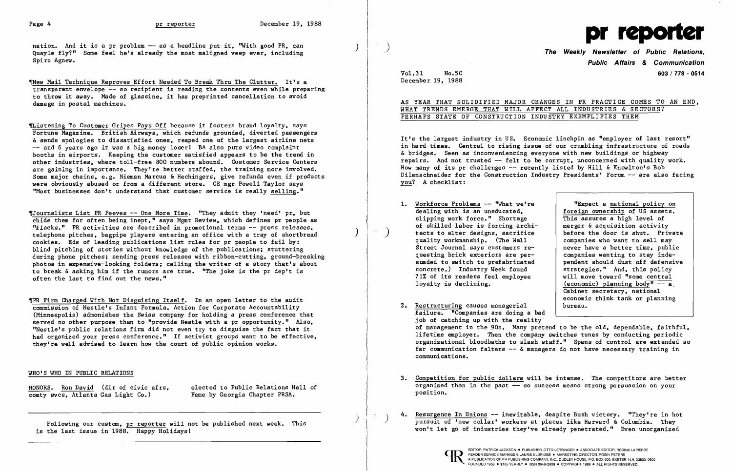nation. And it is a pr problem  $-\sim$  as a headline put it, "With good PR, can Quayle fly?" Some feel he's already the most maligned veep ever, including Spiro Agnew.

VNew Mail Technique Reproves Effort Needed To Break Thru The Clutter. It's a transparent envelope -- so recipient is reading the contents even while preparing to throw it away. Made of glassine. it has preprinted cancellation to avoid damage in postal machines.

~istening To Customer Gripes Pays Off because it fosters brand loyalty. says Fortune Magazine. British Airways. which refunds grounded. diverted passengers & sends apologies to dissatisfied ones. reaped one of the largest airline nets -- and 6 years ago it was a big money loser! BA also puts video complaint booths in airports. Keeping the customer satisfied appears to be the trend in other industries. where toll-free 800 numbers abound. Customer Service Centers are gaining in importance. They're better staffed. the training more involved. Some major chains, e.g. Nieman Marcus & Hechingers, give refunds even if products were obviously abused or from a different store. GE mgr Powell Taylor says "Most businesses don't understand that customer service is really selling."

1Journalists List PR Peeves -- One More Time. "They admit they 'need' pr, but chide them for often being inept." says Mgmt Review. which defines pr people as "f1acks." PR activities are described in promotional terms -- press releases. telephone pitches. bagpipe players entering an office with a tray of shortbread ) cookies. Eds of leading publications list rules for pr people to fail by: blind pitching of stories without knowledge of the publications; stuttering during phone pitches; sending press releases with ribbon-cutting. ground-breaking photos in expensive-looking folders; calling the writer of a story that's about to break & asking him if the rumors are true. "The joke is the pr dep't is often the last to find out the news."

## WHAT TRENDS EMERGE THAT WILL AFFECT ALL INDUSTRIES & SECTORS? PERHAPS STATE OF CONSTRUCTION INDUSTRY EXEMPLIFIES THEM

foreign ownership of US assets.<br>This assures a high level of before the door is shut. Private<br>companies who want to sell may pendent should dust off defensive<br>strategies." And, this policy (economic) planning body"  $-\overline{a}$ . Cabinet secretary. national economic think tank or planning

,PR Firm Charged With Not Disguising Itself. In an open letter to the audit commission of Nestle's Infant Formula. Action for Corporate Accountability (Minneapolis) admonishes the Swiss company for holding a press conference that served no other purpose than to "provide Nestle with a pr opportunity." Also. "Nestle's public relations firm did not even try to disguise the fact that it had organized your press conference." If activist groups want to be effective. they're well advised to learn how the court of public opinion works.

of management in the 90s. Many pretend to be the old. dependable. faithful. lifetime employer. Then the company switches tunes by conducting periodic organizational bloodbaths to slash staff." Spans of control are extended so far communication falters  $--$  & managers do not have necessary training in

- 1. Workforce Problems -- "What we're <br>dealing with is an uneducated, foreign ownership of US assets. slipping work force." Shortage  $\overline{S}$  This assures a high level of of skilled labor is forcing archi-<br> $\overline{S}$  merger & acquisition activity of skilled labor is forcing archi-<br>tects to alter designs, sacrifice quality workmanship. (The Wall  $\begin{array}{|l|l|}\n\hline\n\text{current} & \text{current} & \text{current} \\
\text{current} & \text{target} & \text{other} & \text{other} \\
\hline\n\end{array}$ Street Journal says customers requesting brick exteriors are per-<br>suaded to switch to prefabricated bendent should dust off defensive concrete.) Industry Week found<br>71% of its readers feel emplovee 71% of its readers feel employee  $\begin{array}{c|c} \n\end{array}$  will move toward "some central loyalty is declining.
- 2. Restructuring causes managerial failure. "Companies are doing a bad job of catching up with the reality communications.
- organized than in the past -- so success means strong persuasion on your position.
- 



## WHO'S WHO IN PUBLIC RELATIONS

HONORS. Ron David (dir of civic afrs, elected to Public Relations Hall of comty sycs. Atlanta Gas Light Co.) Fame by Georgia Chapter PRSA. comty svcs, Atlanta Gas Light Co.)

Resurgence In Unions -- inevitable, despite Bush victory. "They're in hot pursuit of 'new collar' workers at places like Harvard & Columbia. They won't let go of industries they've already penetrated." Even unorganized

) Following our custom. pr reporter will not be published next week. This is the last issue in 1988. Happy Holidays!

)

 $r_{\rm c}$ 

*Vo1.31* No.50 December 19. 1988



**The Weekly Newsletter of Public Relations, Public Affairs**  *&* **Communication 603/778 - 0514** 

AS YEAR THAT SOLIDIFIED MAJOR CHANGES IN PR PRACTICE COMES TO AN END.

It's the largest industry in US. Economic linchpin as "employer of last resort" in hard times. Central to rising issue of our crumbling infrastructure of roads & bridges. Seen as inconveniencing everyone with new buildings or highway repairs. And not trusted - felt to be corrupt. unconcerned with quality work. How many of its pr challenges  $-$  recently listed by Hill & Knowlton's Bob Dilenschneider for the Construction Industry Presidents' Forum -- are also facing you? A checklist:

3. Competition for public dollars will be intense. The competitors are better